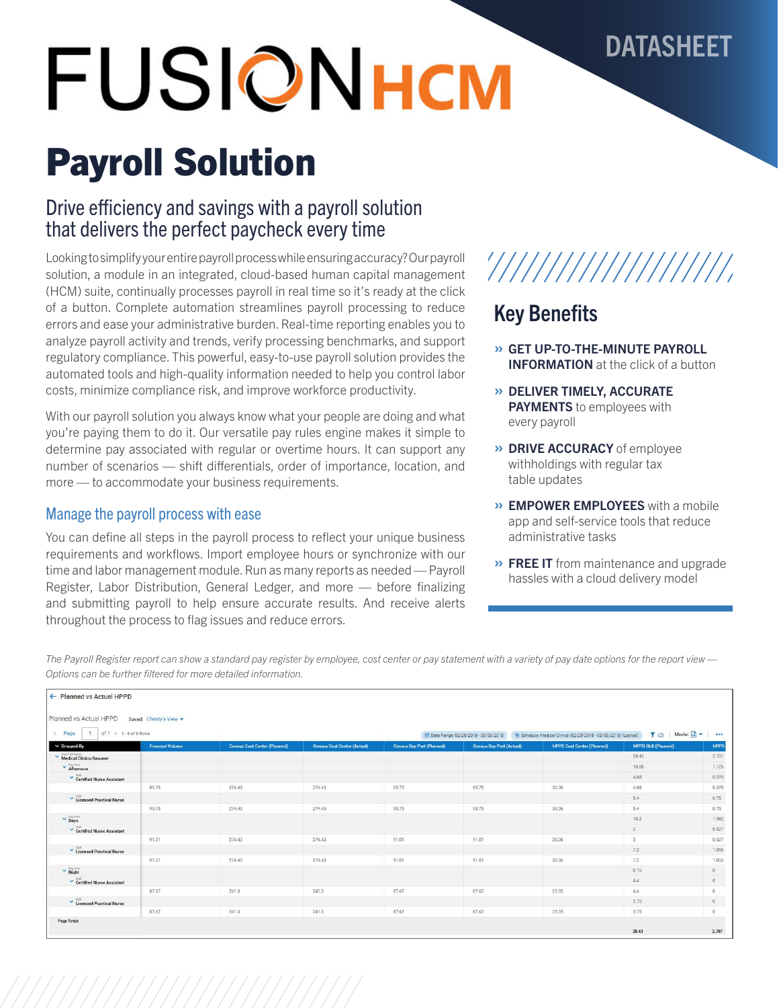## **DATASHEET**

# **FUSIONHCM**

## Payroll Solution

## Drive efficiency and savings with a payroll solution that delivers the perfect paycheck every time

Looking to simplify your entire payroll process while ensuring accuracy? Our payroll solution, a module in an integrated, cloud-based human capital management (HCM) suite, continually processes payroll in real time so it's ready at the click of a button. Complete automation streamlines payroll processing to reduce errors and ease your administrative burden. Real-time reporting enables you to analyze payroll activity and trends, verify processing benchmarks, and support regulatory compliance. This powerful, easy-to-use payroll solution provides the automated tools and high-quality information needed to help you control labor costs, minimize compliance risk, and improve workforce productivity.

With our payroll solution you always know what your people are doing and what you're paying them to do it. Our versatile pay rules engine makes it simple to determine pay associated with regular or overtime hours. It can support any number of scenarios — shift differentials, order of importance, location, and more — to accommodate your business requirements.

## Manage the payroll process with ease

You can define all steps in the payroll process to reflect your unique business requirements and workflows. Import employee hours or synchronize with our time and labor management module. Run as many reports as needed — Payroll Register, Labor Distribution, General Ledger, and more — before finalizing and submitting payroll to help ensure accurate results. And receive alerts throughout the process to flag issues and reduce errors.

## Key Benefits

» GET UP-TO-THE-MINUTE PAYROLL **INFORMATION** at the click of a button

'///////////////////

- » DELIVER TIMELY, ACCURATE **PAYMENTS** to employees with every payroll
- » DRIVE ACCURACY of employee withholdings with regular tax table updates
- » EMPOWER EMPLOYEES with a mobile app and self-service tools that reduce administrative tasks
- » FREE IT from maintenance and upgrade hassles with a cloud delivery model

*The Payroll Register report can show a standard pay register by employee, cost center or pay statement with a variety of pay date options for the report view — Options can be further filtered for more detailed information.* 

| of $1 + 1 - 6$ of 6 Rows<br>4 Page        |                        |                                     |                                    | ---                              |                                 |                                   |                             |                |
|-------------------------------------------|------------------------|-------------------------------------|------------------------------------|----------------------------------|---------------------------------|-----------------------------------|-----------------------------|----------------|
| $\vee$ Grouped By                         | <b>Forecast Volume</b> | <b>Census Cost Center (Planned)</b> | <b>Census Cost Center (Actual)</b> | <b>Census Day Part (Planned)</b> | <b>Census Day Part (Actual)</b> | <b>HPPD Cost Center (Planned)</b> | <b>HPPD Skill (Planned)</b> | HPPD           |
| Cost Full Name<br>Medical Clinics/Gessner |                        |                                     |                                    |                                  |                                 |                                   | 28.43                       | 2.707          |
| $\vee$ Bay Part                           |                        |                                     |                                    |                                  |                                 |                                   | 10.08                       | 1.125          |
| Certified Nurse Assistant                 |                        |                                     |                                    |                                  |                                 |                                   | 4.68                        | 0.375          |
|                                           | 95.75                  | 274.43                              | 274.43                             | 95.75                            | 95.75                           | 30.06                             | 4.68                        | 0.375          |
| V Licensed Practical Nurse                |                        |                                     |                                    |                                  |                                 |                                   | 5.4                         | 0.75           |
|                                           | 95.75                  | 274,43                              | 274.43                             | 95.75                            | 95.75                           | 30.06                             | 5.4                         | 0.75           |
| $\vee$ Days                               |                        |                                     |                                    |                                  |                                 |                                   | 10.2                        | 1.582          |
| Certified Nurse Assistant                 |                        |                                     |                                    |                                  |                                 |                                   | 3                           | 0.527          |
|                                           | 91.01                  | 274.43                              | 274.43                             | 91.01                            | 91.01                           | 30.06                             | $\mathbf{3}$                | 0.527          |
| Licensed Practical Nurse                  |                        |                                     |                                    |                                  |                                 |                                   | 7.2                         | 1.055          |
|                                           | 91.01                  | 274,43                              | 274.43                             | 91.01                            | 91.01                           | 30.06                             | 7.2                         | 1.055          |
| $\vee$ Night                              |                        |                                     |                                    |                                  |                                 |                                   | 8.15                        | $\overline{0}$ |
| Certified Nurse Assistant                 |                        |                                     |                                    |                                  |                                 |                                   | 4.4                         | $\circ$        |
|                                           | 87.67                  | 241.3                               | 241.3                              | 87.67                            | 87.67                           | 25.05                             | 4.4                         | $\circ$        |
| V Licensed Practical Nurse                |                        |                                     |                                    |                                  |                                 |                                   | 3.75                        | $\circ$        |
|                                           | 87.67                  | 241.3                               | 241.3                              | 87.67                            | 87.67                           | 25.05                             | 3.75                        | $\Omega$       |